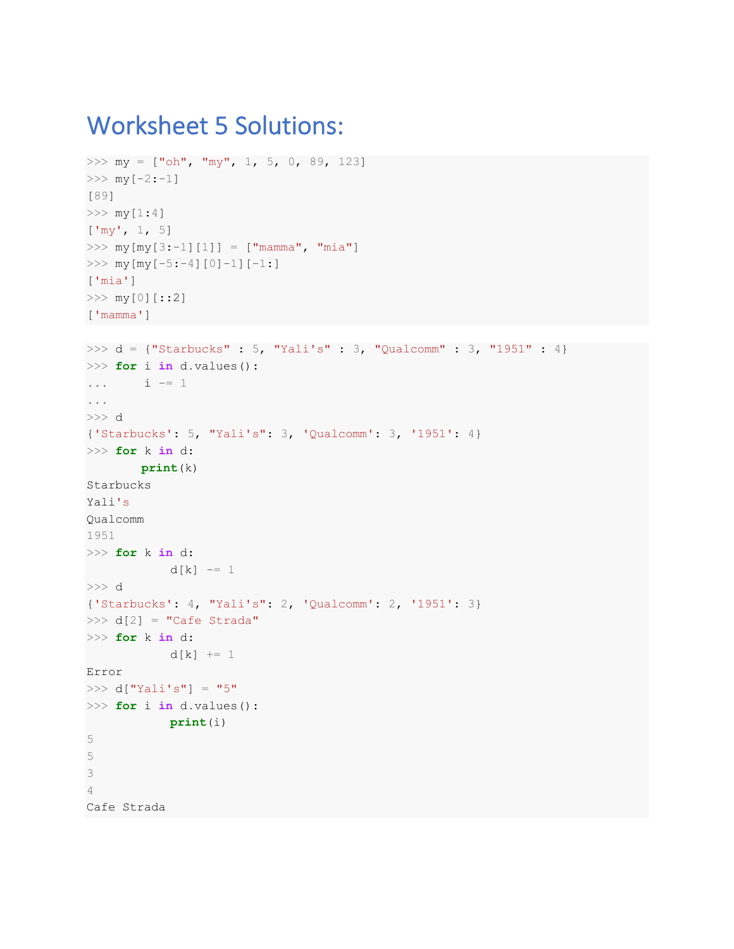## Worksheet 5 Solutions:

```
\gg my = ["oh", "my", 1, 5, 0, 89, 123]
>>> my[-2:-1][89]
>>> my[1:4]
['my', 1, 5]
>>> my[my[3:-1][1]] = ["mamma", "mia"]
\gg my [my [-5:-4][0]-1][-1:]
['mia']
>>> my[0][::2]
['mamma']
>>> d = {"Starbucks" : 5, "Yali's" : 3, "Qualcomm" : 3, "1951" : 4}
>>> for i in d.values():
\cdots i = 1...
>>> d
{'Starbucks': 5, "Yali's": 3, 'Qualcomm': 3, '1951': 4}
>>> for k in d:
        print(k)
Starbucks
Yali's 
Qualcomm
1951
>>> for k in d:
           d[k] -= 1
>>> d
{'Starbucks': 4, "Yali's": 2, 'Qualcomm': 2, '1951': 3}
\Rightarrow d[2] = "Cafe Strada"
>>> for k in d:
           d[k] += 1
Error
>>> d['Yali's"] = "5">>> for i in d.values():
             print(i)
5
5
3
4
Cafe Strada
```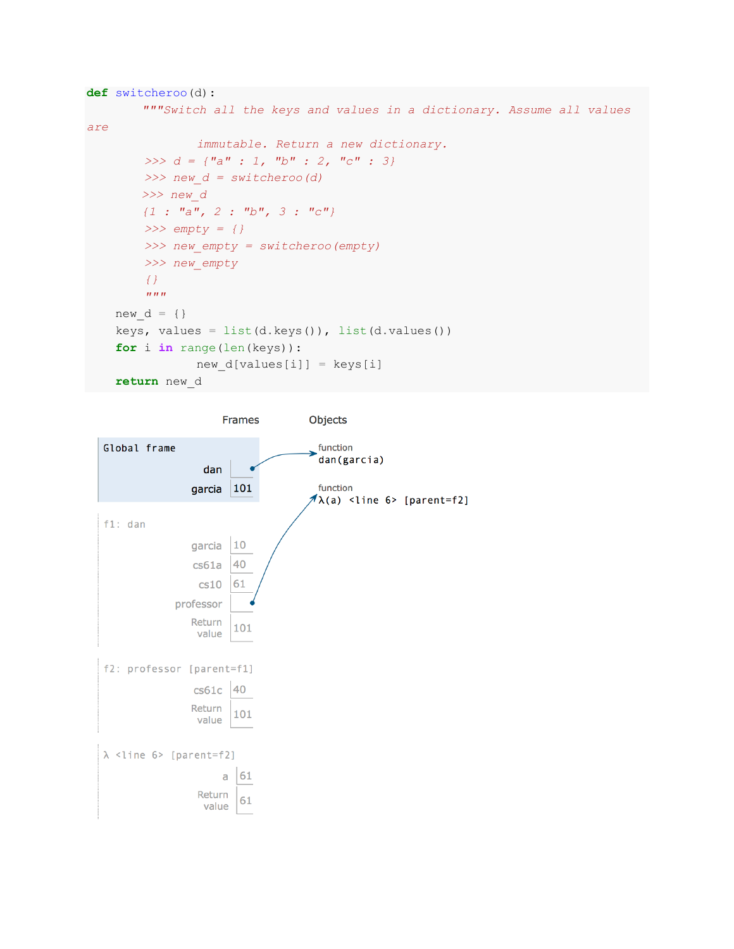```
def switcheroo(d):
         """Switch all the keys and values in a dictionary. Assume all values 
are 
                 immutable. Return a new dictionary.
          >>> d = {"a" : 1, "b" : 2, "c" : 3}
          >>> new_d = switcheroo(d)
         >>> new_d
         {1 : "a", 2 : "b", 3 : "c"}
          >>> empty = {}
          >>> new_empty = switcheroo(empty)
          >>> new_empty
          {}
         \overline{u} \overline{u} \overline{u} new_d = {}
    keys, values = list(d.keys()), list(d.values())
     for i in range(len(keys)):
                 new_d[values[i]] = keys[i]
     return new_d
```